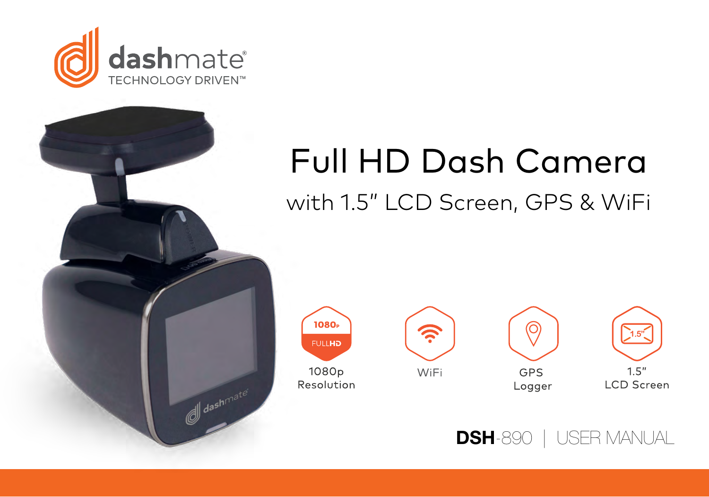

# Full HD Dash Camera with 1.5" LCD Screen, GPS & WiFi



dashmate<sup>®</sup>







DSH-890 | USER MANUAL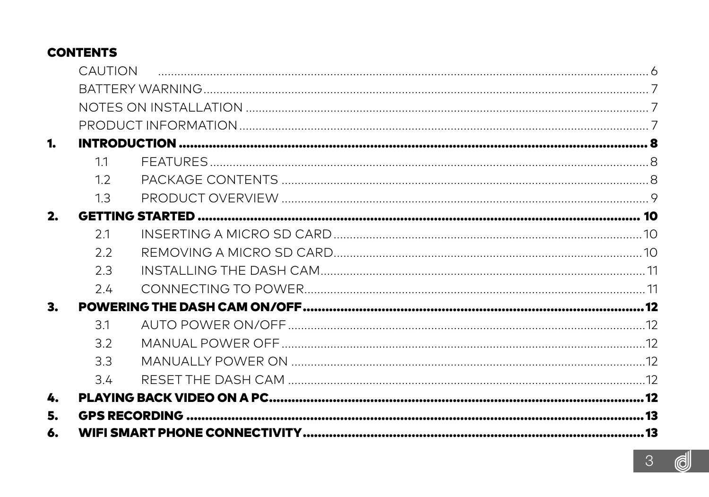## **CONTENTS**

|    | <b>CALITION</b> |  |
|----|-----------------|--|
|    |                 |  |
|    |                 |  |
|    |                 |  |
| 1. |                 |  |
|    | 11              |  |
|    | 12              |  |
|    | 1.3             |  |
| 2. |                 |  |
|    | 2.1             |  |
|    | 2.2             |  |
|    | 2.3             |  |
|    | 2.4             |  |
| 3. |                 |  |
|    | 31              |  |
|    | 3.2             |  |
|    | 3.3             |  |
|    | 3.4             |  |
| 4. |                 |  |
| 5. |                 |  |
| 6. |                 |  |
|    |                 |  |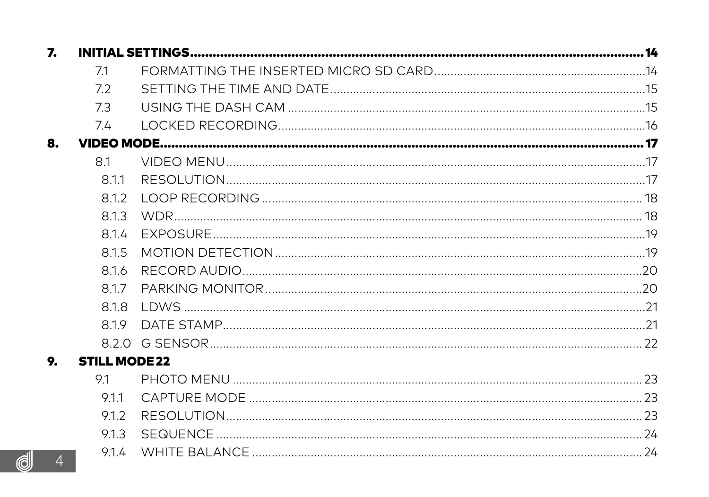| 7.                  |                      |  |
|---------------------|----------------------|--|
|                     | 71                   |  |
|                     | 72                   |  |
|                     | 73                   |  |
|                     | 74                   |  |
| 8.                  |                      |  |
|                     | 8.1                  |  |
|                     | 811                  |  |
|                     | 812                  |  |
|                     | 813                  |  |
|                     | 814                  |  |
|                     | 815                  |  |
|                     | 8.1.6                |  |
|                     | 817                  |  |
|                     | 818                  |  |
|                     | 819                  |  |
|                     |                      |  |
| 9.                  | <b>STILL MODE 22</b> |  |
|                     | 91                   |  |
|                     | 9.1.1                |  |
|                     | 912                  |  |
|                     | 9.1.3                |  |
| $\overline{4}$<br>d | 914                  |  |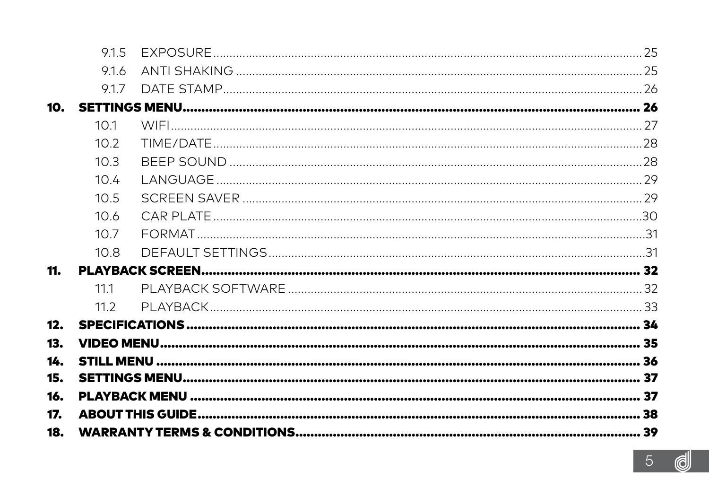|     | 915   |  |
|-----|-------|--|
|     | 916   |  |
|     | 9.1.7 |  |
| 10. |       |  |
|     | 101   |  |
|     | 102   |  |
|     | 103   |  |
|     | 104   |  |
|     | 105   |  |
|     | 10.6  |  |
|     | 10.7  |  |
|     | 10.8  |  |
| 11. |       |  |
|     | 111   |  |
|     | 11.2  |  |
| 12. |       |  |
| 13. |       |  |
| 14. |       |  |
| 15. |       |  |
| 16. |       |  |
| 17. |       |  |
| 18. |       |  |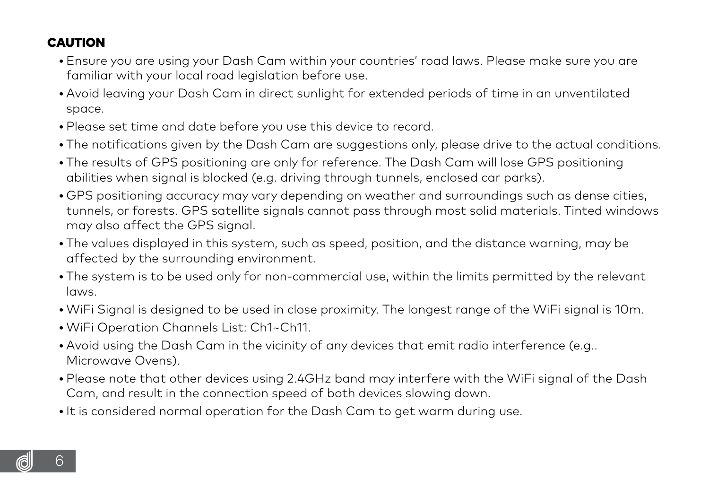## <span id="page-5-0"></span>CAUTION

- Ensure you are using your Dash Cam within your countries' road laws. Please make sure you are familiar with your local road legislation before use.
- Avoid leaving your Dash Cam in direct sunlight for extended periods of time in an unventilated space.
- Please set time and date before you use this device to record.
- The notifications given by the Dash Cam are suggestions only, please drive to the actual conditions.
- The results of GPS positioning are only for reference. The Dash Cam will lose GPS positioning abilities when signal is blocked (e.g. driving through tunnels, enclosed car parks).
- GPS positioning accuracy may vary depending on weather and surroundings such as dense cities, tunnels, or forests. GPS satellite signals cannot pass through most solid materials. Tinted windows may also affect the GPS signal.
- The values displayed in this system, such as speed, position, and the distance warning, may be affected by the surrounding environment.
- The system is to be used only for non-commercial use, within the limits permitted by the relevant laws.
- WiFi Signal is designed to be used in close proximity. The longest range of the WiFi signal is 10m.
- WiFi Operation Channels List: Ch1~Ch11.
- Avoid using the Dash Cam in the vicinity of any devices that emit radio interference (e.g.. Microwave Ovens).
- Please note that other devices using 2.4GHz band may interfere with the WiFi signal of the Dash Cam, and result in the connection speed of both devices slowing down.
- It is considered normal operation for the Dash Cam to get warm during use.

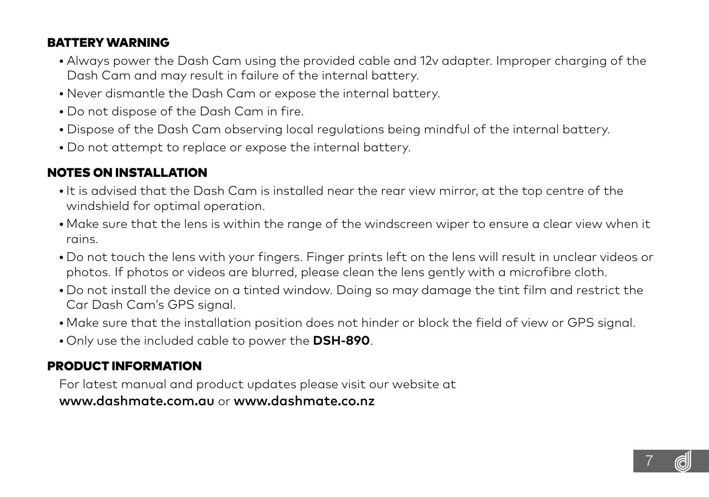## <span id="page-6-0"></span>BATTERY WARNING

- **•** Always power the Dash Cam using the provided cable and 12v adapter. Improper charging of the Dash Cam and may result in failure of the internal battery.
- **•** Never dismantle the Dash Cam or expose the internal battery.
- **•** Do not dispose of the Dash Cam in fire.
- **•** Dispose of the Dash Cam observing local regulations being mindful of the internal battery.
- **•** Do not attempt to replace or expose the internal battery.

## NOTES ON INSTALLATION

- It is advised that the Dash Cam is installed near the rear view mirror, at the top centre of the windshield for optimal operation.
- Make sure that the lens is within the range of the windscreen wiper to ensure a clear view when it rains.
- Do not touch the lens with your fingers. Finger prints left on the lens will result in unclear videos or photos. If photos or videos are blurred, please clean the lens gently with a microfibre cloth.
- Do not install the device on a tinted window. Doing so may damage the tint film and restrict the Car Dash Cam's GPS signal.
- Make sure that the installation position does not hinder or block the field of view or GPS signal.
- Only use the included cable to power the **DSH-890**.

## PRODUCT INFORMATION

 For latest manual and product updates please visit our website at www.dashmate.com.au or www.dashmate.co.nz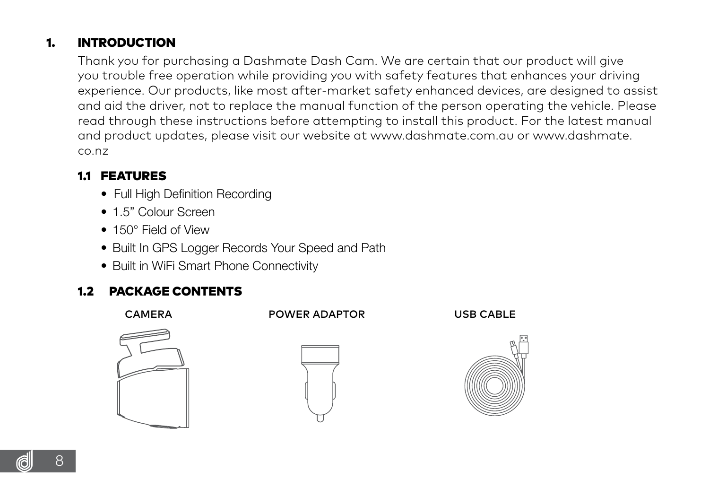## <span id="page-7-0"></span>1. INTRODUCTION

 Thank you for purchasing a Dashmate Dash Cam. We are certain that our product will give you trouble free operation while providing you with safety features that enhances your driving experience. Our products, like most after-market safety enhanced devices, are designed to assist and aid the driver, not to replace the manual function of the person operating the vehicle. Please read through these instructions before attempting to install this product. For the latest manual and product updates, please visit our website at www.dashmate.com.au or www.dashmate. co.nz

#### 1.1 FEATURES

- Full High Definition Recording
- 1.5" Colour Screen
- 150° Field of View
- Built In GPS Logger Records Your Speed and Path
- Built in WiFi Smart Phone Connectivity

#### 1.2 PACKAGE CONTENTS

CAMERA POWER ADAPTOR USB CABLE







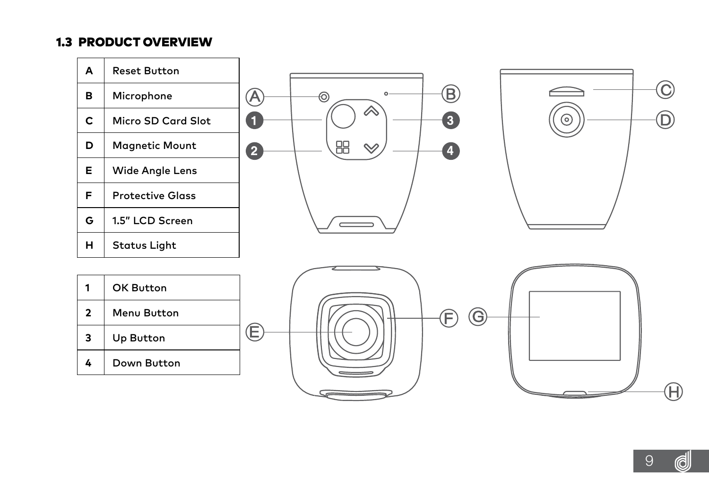#### <span id="page-8-0"></span>1.3 PRODUCT OVERVIEW

| A                       | <b>Reset Button</b>     |                                                  |
|-------------------------|-------------------------|--------------------------------------------------|
| в                       | Microphone              | റ<br>₿<br>@<br>⊚                                 |
| c                       | Micro SD Card Slot      | "<br>$\boxed{3}$<br>a<br>(o)                     |
| D                       | <b>Magnetic Mount</b>   | 嘂<br>$\rightsquigarrow$<br>0<br>$\left  \right $ |
| Е                       | <b>Wide Angle Lens</b>  |                                                  |
| F                       | <b>Protective Glass</b> |                                                  |
| G                       | 1.5" LCD Screen         |                                                  |
| н                       | <b>Status Light</b>     |                                                  |
|                         |                         |                                                  |
| 1                       | OK Button               |                                                  |
| $\overline{\mathbf{2}}$ | Menu Button             | G                                                |
| 3                       | Up Button               | (E)                                              |
| 4                       | Down Button             |                                                  |
|                         |                         | Ή                                                |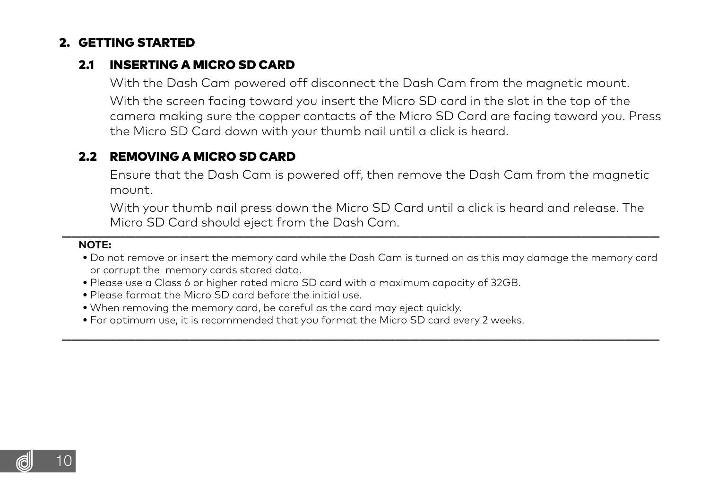#### <span id="page-9-0"></span>2. GETTING STARTED

#### 21 INSERTING A MICRO SD CARD

 With the Dash Cam powered off disconnect the Dash Cam from the magnetic mount. With the screen facing toward you insert the Micro SD card in the slot in the top of the camera making sure the copper contacts of the Micro SD Card are facing toward you. Press the Micro SD Card down with your thumb nail until a click is heard.

#### 2.2 REMOVING A MICRO SD CARD

 Ensure that the Dash Cam is powered off, then remove the Dash Cam from the magnetic mount.

 With your thumb nail press down the Micro SD Card until a click is heard and release. The Micro SD Card should eject from the Dash Cam.

#### **NOTE:**

**•** Do not remove or insert the memory card while the Dash Cam is turned on as this may damage the memory card or corrupt the memory cards stored data.

**\_\_\_\_\_\_\_\_\_\_\_\_\_\_\_\_\_\_\_\_\_\_\_\_\_\_\_\_\_\_\_\_\_\_\_\_\_\_\_\_\_\_\_\_\_\_\_\_\_\_\_\_\_\_\_\_\_\_\_\_\_\_\_\_\_\_\_\_\_\_\_\_\_\_\_\_\_\_\_\_\_\_\_\_\_\_\_\_\_\_\_\_\_\_\_\_\_\_\_\_\_\_\_\_\_\_\_\_\_\_\_\_\_\_\_\_\_\_\_\_\_\_**

- **•** Please use a Class 6 or higher rated micro SD card with a maximum capacity of 32GB.
- **•** Please format the Micro SD card before the initial use.
- **•** When removing the memory card, be careful as the card may eject quickly.
- **•** For optimum use, it is recommended that you format the Micro SD card every 2 weeks.

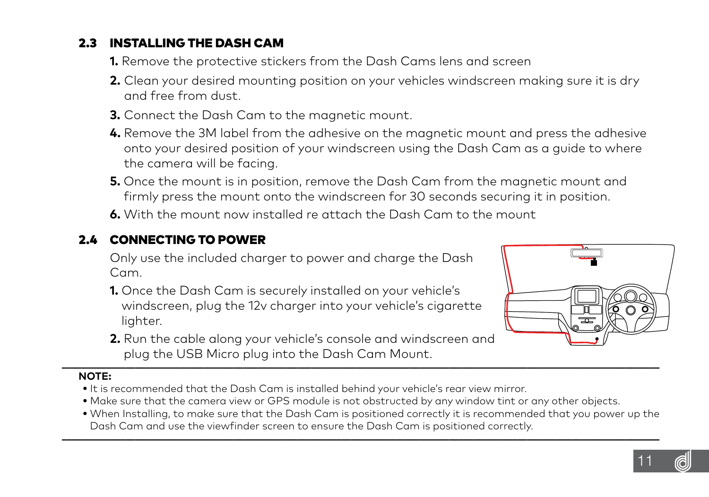## <span id="page-10-0"></span>2.3 INSTALLING THE DASH CAM

- **1.** Remove the protective stickers from the Dash Cams lens and screen
- **2.** Clean your desired mounting position on your vehicles windscreen making sure it is dry and free from dust.
- **3.** Connect the Dash Cam to the magnetic mount.
- **4.** Remove the 3M label from the adhesive on the magnetic mount and press the adhesive onto your desired position of your windscreen using the Dash Cam as a guide to where the camera will be facing.
- **5.** Once the mount is in position, remove the Dash Cam from the magnetic mount and firmly press the mount onto the windscreen for 30 seconds securing it in position.
- **6.** With the mount now installed re attach the Dash Cam to the mount

## 2.4 CONNECTING TO POWER

 Only use the included charger to power and charge the Dash Cam.

- **1.** Once the Dash Cam is securely installed on your vehicle's windscreen, plug the 12v charger into your vehicle's cigarette lighter.
- **2.** Run the cable along your vehicle's console and windscreen and plug the USB Micro plug into the Dash Cam Mount.



- **•** It is recommended that the Dash Cam is installed behind your vehicle's rear view mirror.
- **•** Make sure that the camera view or GPS module is not obstructed by any window tint or any other objects.
- **•** When Installing, to make sure that the Dash Cam is positioned correctly it is recommended that you power up the Dash Cam and use the viewfinder screen to ensure the Dash Cam is positioned correctly.

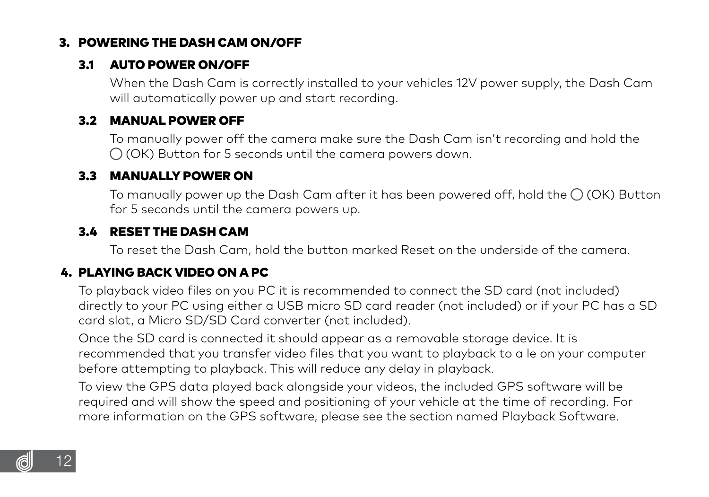## <span id="page-11-0"></span>3. POWERING THE DASH CAM ON/OFF

#### 3.1 AUTO POWER ON/OFF

 When the Dash Cam is correctly installed to your vehicles 12V power supply, the Dash Cam will automatically power up and start recording.

#### 3.2 MANUAL POWER OFF

 To manually power off the camera make sure the Dash Cam isn't recording and hold the  $\bigcap$  (OK) Button for 5 seconds until the camera powers down.

#### 3.3 MANUALLY POWER ON

To manually power up the Dash Cam after it has been powered off, hold the  $\bigcap$  (OK) Button for 5 seconds until the camera powers up.

## 3.4 RESET THE DASH CAM

To reset the Dash Cam, hold the button marked Reset on the underside of the camera.

#### 4. PLAYING BACK VIDEO ON A PC

 To playback video files on you PC it is recommended to connect the SD card (not included) directly to your PC using either a USB micro SD card reader (not included) or if your PC has a SD card slot, a Micro SD/SD Card converter (not included).

 Once the SD card is connected it should appear as a removable storage device. It is recommended that you transfer video files that you want to playback to a le on your computer before attempting to playback. This will reduce any delay in playback.

 To view the GPS data played back alongside your videos, the included GPS software will be required and will show the speed and positioning of your vehicle at the time of recording. For more information on the GPS software, please see the section named Playback Software.

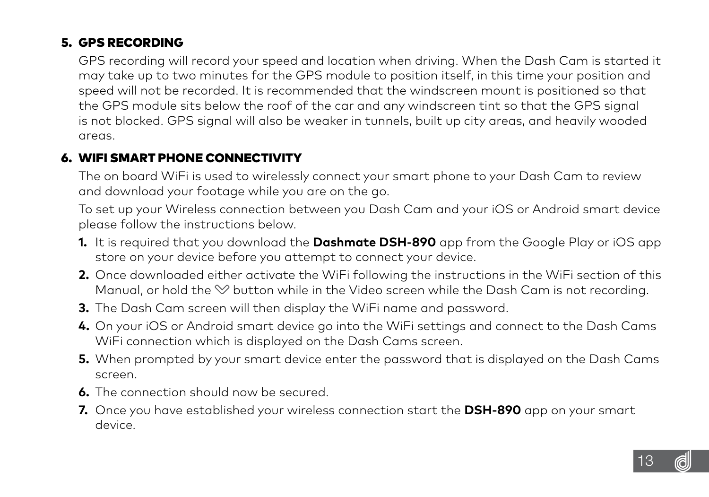## <span id="page-12-0"></span>5. GPS RECORDING

 GPS recording will record your speed and location when driving. When the Dash Cam is started it may take up to two minutes for the GPS module to position itself, in this time your position and speed will not be recorded. It is recommended that the windscreen mount is positioned so that the GPS module sits below the roof of the car and any windscreen tint so that the GPS signal is not blocked. GPS signal will also be weaker in tunnels, built up city areas, and heavily wooded areas.

#### 6. WIFI SMART PHONE CONNECTIVITY

 The on board WiFi is used to wirelessly connect your smart phone to your Dash Cam to review and download your footage while you are on the go.

 To set up your Wireless connection between you Dash Cam and your iOS or Android smart device please follow the instructions below.

- **1.** It is required that you download the **Dashmate DSH-890** app from the Google Play or iOS app store on your device before you attempt to connect your device.
- **2.** Once downloaded either activate the WiFi following the instructions in the WiFi section of this Manual, or hold the  $\heartsuit$  button while in the Video screen while the Dash Cam is not recording.
- **3.** The Dash Cam screen will then display the WiFi name and password.
- **4.** On your iOS or Android smart device go into the WiFi settings and connect to the Dash Cams WiFi connection which is displayed on the Dash Cams screen.
- **5.** When prompted by your smart device enter the password that is displayed on the Dash Cams screen.
- **6.** The connection should now be secured.
- **7.** Once you have established your wireless connection start the **DSH-890** app on your smart device.

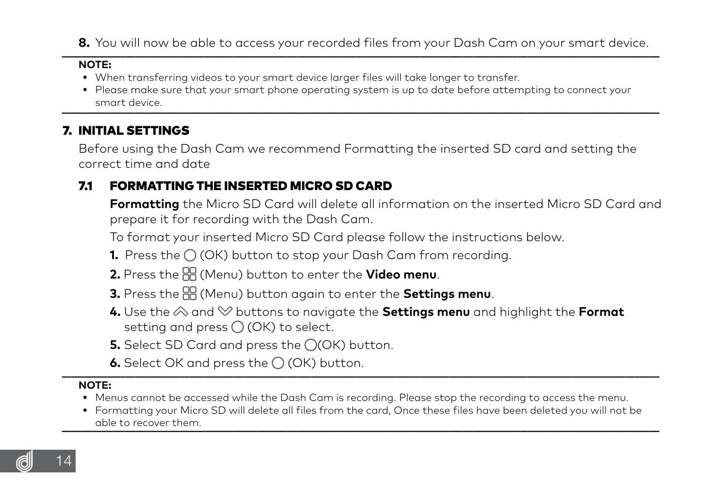<span id="page-13-0"></span>8. You will now be able to access your recorded files from your Dash Cam on your smart device.

#### **NOTE:**

- **•** When transferring videos to your smart device larger files will take longer to transfer.
- **•** Please make sure that your smart phone operating system is up to date before attempting to connect your smart device. **\_\_\_\_\_\_\_\_\_\_\_\_\_\_\_\_\_\_\_\_\_\_\_\_\_\_\_\_\_\_\_\_\_\_\_\_\_\_\_\_\_\_\_\_\_\_\_\_\_\_\_\_\_\_\_\_\_\_\_\_\_\_\_\_\_\_\_\_\_\_\_\_\_\_\_\_\_\_\_\_\_\_\_\_\_\_\_\_\_\_\_\_\_\_\_\_\_\_\_\_\_\_\_\_\_\_\_\_\_\_\_\_\_\_\_\_\_\_\_\_\_\_**

#### 7. INITIAL SETTINGS

 Before using the Dash Cam we recommend Formatting the inserted SD card and setting the correct time and date

## 7.1 FORMATTING THE INSERTED MICRO SD CARD

 **Formatting** the Micro SD Card will delete all information on the inserted Micro SD Card and prepare it for recording with the Dash Cam.

To format your inserted Micro SD Card please follow the instructions below.

- **1.** Press the  $\bigcap$  (OK) button to stop your Dash Cam from recording.
- **2.** Press the (Menu) button to enter the **Video menu**.
- **3.** Press the (Menu) button again to enter the **Settings menu**.
- **4.** Use the  $\otimes$  and  $\otimes$  buttons to navigate the **Settings menu** and highlight the Format setting and press  $\bigcirc$  (OK) to select.
- **5.** Select SD Card and press the ○(OK) button.
- $\bullet$ . Select OK and press the  $\bigcap$  (OK) button.

- **•** Menus cannot be accessed while the Dash Cam is recording. Please stop the recording to access the menu.
- **•** Formatting your Micro SD will delete all files from the card, Once these files have been deleted you will not be able to recover them. **we are also assumed to recover them.** The set of the set of the set of the set of the set of the set of the set of the set of the set of the set of the set of the set of the set of the set of the set

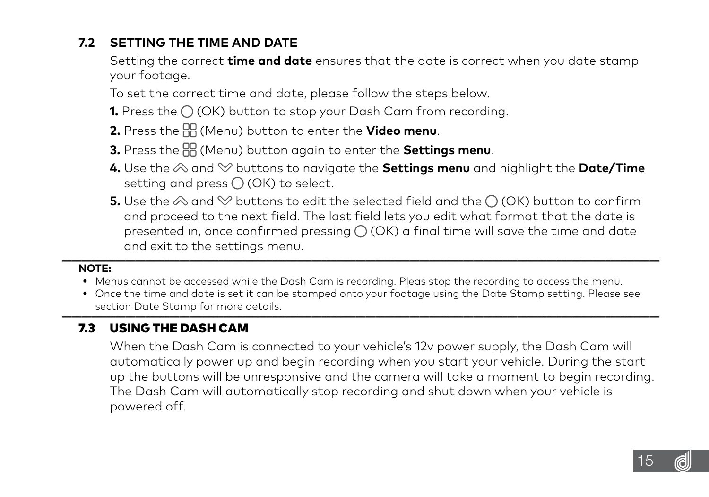## <span id="page-14-0"></span> **7.2 SETTING THE TIME AND DATE**

 Setting the correct **time and date** ensures that the date is correct when you date stamp your footage.

To set the correct time and date, please follow the steps below.

- **1.** Press the (OK) button to stop your Dash Cam from recording.
- **2.** Press the (Menu) button to enter the **Video menu**.
- **3.** Press the (Menu) button again to enter the **Settings menu**.
- **4.** Use the  $\otimes$  and  $\otimes$  buttons to navigate the **Settings menu** and highlight the **Date/Time** setting and press  $\bigcirc$  (OK) to select.
- **5.** Use the  $\otimes$  and  $\otimes$  buttons to edit the selected field and the  $\cap$  (OK) button to confirm and proceed to the next field. The last field lets you edit what format that the date is presented in, once confirmed pressing  $\bigcirc$  (OK) a final time will save the time and date and exit to the settings menu.

#### **NOTE:**

- **•** Menus cannot be accessed while the Dash Cam is recording. Pleas stop the recording to access the menu.
- **•** Once the time and date is set it can be stamped onto your footage using the Date Stamp setting. Please see section Date Stamp for more details. **\_\_\_\_\_\_\_\_\_\_\_\_\_\_\_\_\_\_\_\_\_\_\_\_\_\_\_\_\_\_\_\_\_\_\_\_\_\_\_\_\_\_\_\_\_\_\_\_\_\_\_\_\_\_\_\_\_\_\_\_\_\_\_\_\_\_\_\_\_\_\_\_\_\_\_\_\_\_\_\_\_\_\_\_\_\_\_\_\_\_\_\_\_\_\_\_\_\_\_\_\_\_\_\_\_\_\_\_\_\_\_\_\_\_\_\_\_\_\_\_\_\_**

## 7.3 USING THE DASH CAM

 When the Dash Cam is connected to your vehicle's 12v power supply, the Dash Cam will automatically power up and begin recording when you start your vehicle. During the start up the buttons will be unresponsive and the camera will take a moment to begin recording. The Dash Cam will automatically stop recording and shut down when your vehicle is powered off.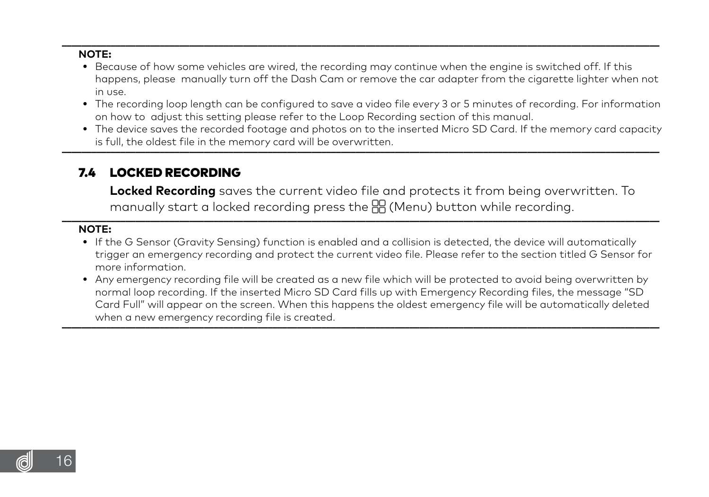#### <span id="page-15-0"></span>**\_\_\_\_\_\_\_\_\_\_\_\_\_\_\_\_\_\_\_\_\_\_\_\_\_\_\_\_\_\_\_\_\_\_\_\_\_\_\_\_\_\_\_\_\_\_\_\_\_\_\_\_\_\_\_\_\_\_\_\_\_\_\_\_\_\_\_\_\_\_\_\_\_\_\_\_\_\_\_\_\_\_\_\_\_\_\_\_\_\_\_\_\_\_\_\_\_\_\_\_\_\_\_\_\_\_\_\_\_\_\_\_\_\_\_\_\_\_\_\_\_\_ NOTE:**

- **•** Because of how some vehicles are wired, the recording may continue when the engine is switched off. If this happens, please manually turn off the Dash Cam or remove the car adapter from the cigarette lighter when not in use.
- **•** The recording loop length can be configured to save a video file every 3 or 5 minutes of recording. For information on how to adjust this setting please refer to the Loop Recording section of this manual.
- **•** The device saves the recorded footage and photos on to the inserted Micro SD Card. If the memory card capacity is full, the oldest file in the memory card will be overwritten.

#### 7.4 LOCKED RECORDING

 **Locked Recording** saves the current video file and protects it from being overwritten. To manually start a locked recording press the  $\frac{m}{n}$  (Menu) button while recordina.

- **•** If the G Sensor (Gravity Sensing) function is enabled and a collision is detected, the device will automatically trigger an emergency recording and protect the current video file. Please refer to the section titled G Sensor for more information.
- **•** Any emergency recording file will be created as a new file which will be protected to avoid being overwritten by normal loop recording. If the inserted Micro SD Card fills up with Emergency Recording files, the message "SD Card Full" will appear on the screen. When this happens the oldest emergency file will be automatically deleted when a new emergency recording file is created.

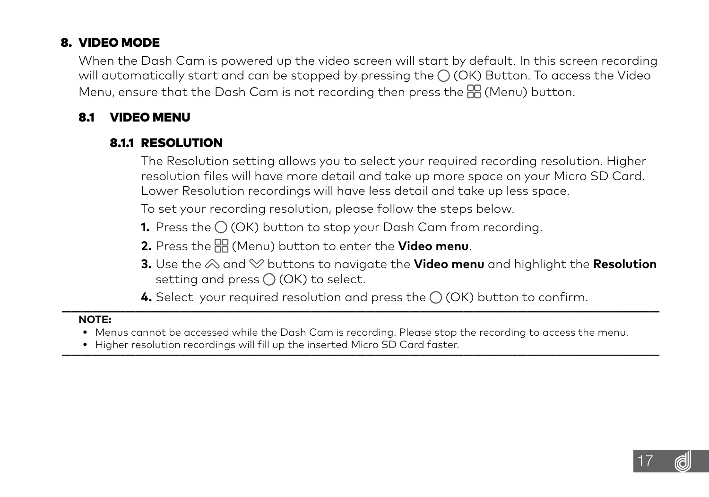## <span id="page-16-0"></span>8. VIDEO MODE

 When the Dash Cam is powered up the video screen will start by default. In this screen recording will automatically start and can be stopped by pressing the  $\bigcap$  (OK) Button. To access the Video Menu, ensure that the Dash Cam is not recording then press the FF (Menu) button.

#### 8.1 VIDEO MENU

## 8.1.1 RESOLUTION

 The Resolution setting allows you to select your required recording resolution. Higher resolution files will have more detail and take up more space on your Micro SD Card. Lower Resolution recordings will have less detail and take up less space.

To set your recording resolution, please follow the steps below.

- **1.** Press the  $\bigcirc$  (OK) button to stop your Dash Cam from recording.
- **2.** Press the (Menu) button to enter the **Video menu**.
- **3.** Use the  $\otimes$  and  $\otimes$  buttons to navigate the **Video menu** and highlight the Resolution setting and press  $\bigcap$  (OK) to select.

**4.** Select your required resolution and press the  $\bigcap$  (OK) button to confirm.

- **•** Menus cannot be accessed while the Dash Cam is recording. Please stop the recording to access the menu.
- Higher resolution recordings will fill up the inserted Micro SD Card faster.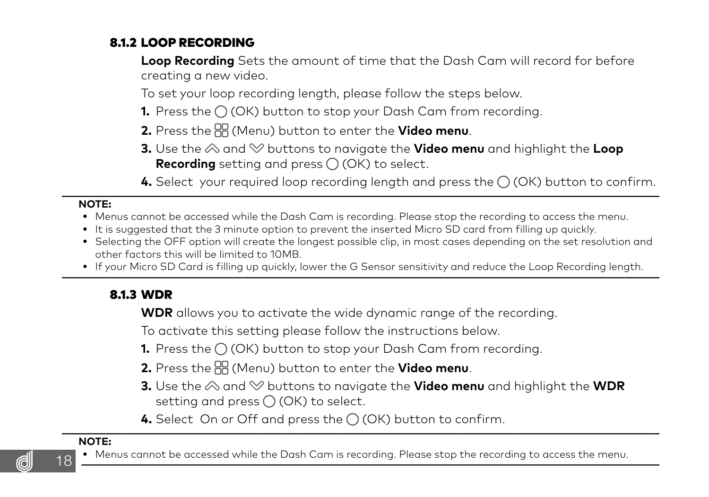## <span id="page-17-0"></span>8.1.2 LOOP RECORDING

 **Loop Recording** Sets the amount of time that the Dash Cam will record for before creating a new video.

To set your loop recording length, please follow the steps below.

- **1.** Press the  $\bigcap$  (OK) button to stop your Dash Cam from recording.
- **2.** Press the (Menu) button to enter the **Video menu**.
- **3.** Use the  $\otimes$  and  $\otimes$  buttons to navigate the **Video menu** and highlight the **Loop Recording** setting and press  $\bigcirc$  (OK) to select.

**4.** Select your required loop recording length and press the  $\bigcirc$  (OK) button to confirm.

#### **NOTE:**

- **•** Menus cannot be accessed while the Dash Cam is recording. Please stop the recording to access the menu.
- It is suggested that the 3 minute option to prevent the inserted Micro SD card from filling up quickly.
- **•** Selecting the OFF option will create the longest possible clip, in most cases depending on the set resolution and other factors this will be limited to 10MB.
- . If your Micro SD Card is filling up quickly, lower the G Sensor sensitivity and reduce the Loop Recordina lenath.

#### 8.1.3 WDR

**WDR** allows you to activate the wide dynamic range of the recording.

To activate this setting please follow the instructions below.

- **1.** Press the  $\bigcirc$  (OK) button to stop your Dash Cam from recording.
- **2.** Press the (Menu) button to enter the **Video menu**.
- **3.** Use the  $\otimes$  and  $\otimes$  buttons to navigate the **Video menu** and highlight the **WDR** setting and press  $\bigcirc$  (OK) to select.
- **4.** Select On or Off and press the  $\bigcap$  (OK) button to confirm.

#### **NOTE:**



18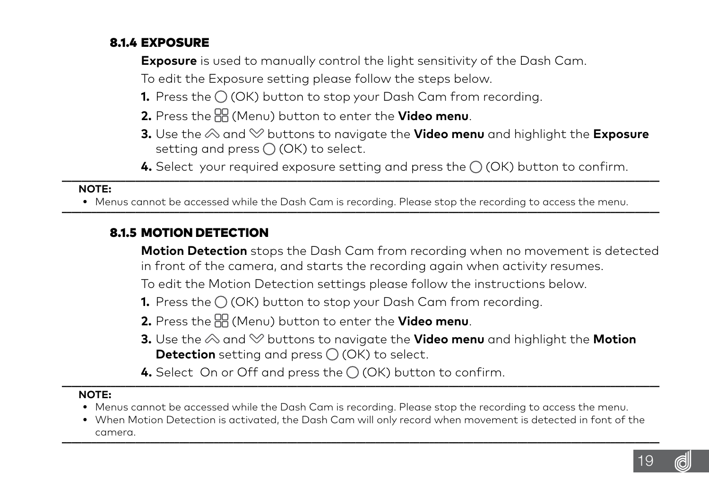## <span id="page-18-0"></span>8.1.4 EXPOSURE

**Exposure** is used to manually control the light sensitivity of the Dash Cam.

To edit the Exposure setting please follow the steps below.

- **1.** Press the  $\bigcirc$  (OK) button to stop your Dash Cam from recording.
- **2.** Press the (Menu) button to enter the **Video menu**.
- **3.** Use the  $\otimes$  and  $\otimes$  buttons to navigate the **Video menu** and highlight the **Exposure** setting and press  $\bigcap$  (OK) to select.
- **4.** Select your required exposure setting and press the  $\bigcap$  (OK) button to confirm.

#### **NOTE:**

. Menus cannot be accessed while the Dash Cam is recordina. Please stop the recordina to access the menu.

#### 8.1.5 MOTION DETECTION

 **Motion Detection** stops the Dash Cam from recording when no movement is detected in front of the camera, and starts the recording again when activity resumes.

To edit the Motion Detection settings please follow the instructions below.

- **1.** Press the  $\bigcap$  (OK) button to stop your Dash Cam from recording.
- **2.** Press the (Menu) button to enter the **Video menu**.
- **3.** Use the  $\otimes$  and  $\otimes$  buttons to navigate the **Video menu** and highlight the **Motion Detection** setting and press ○ (OK) to select.
- **4.** Select On or Off and press the  $\bigcap$  (OK) button to confirm.

- **•** Menus cannot be accessed while the Dash Cam is recording. Please stop the recording to access the menu.
- **•** When Motion Detection is activated, the Dash Cam will only record when movement is detected in font of the camera. **\_\_\_\_\_\_\_\_\_\_\_\_\_\_\_\_\_\_\_\_\_\_\_\_\_\_\_\_\_\_\_\_\_\_\_\_\_\_\_\_\_\_\_\_\_\_\_\_\_\_\_\_\_\_\_\_\_\_\_\_\_\_\_\_\_\_\_\_\_\_\_\_\_\_\_\_\_\_\_\_\_\_\_\_\_\_\_\_\_\_\_\_\_\_\_\_\_\_\_\_\_\_\_\_\_\_\_\_\_\_\_\_\_\_\_\_\_\_\_\_\_\_**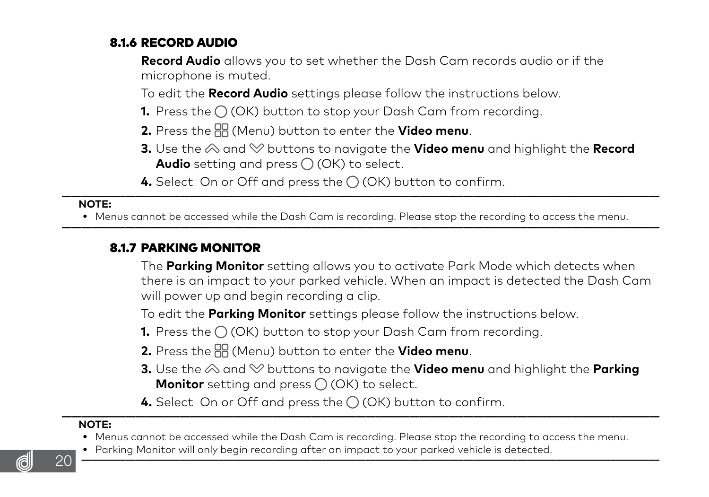## <span id="page-19-0"></span>8.1.6 RECORD AUDIO

 **Record Audio** allows you to set whether the Dash Cam records audio or if the microphone is muted.

To edit the **Record Audio** settings please follow the instructions below.

- **1.** Press the (OK) button to stop your Dash Cam from recording.
- **2.** Press the (Menu) button to enter the **Video menu**.
- **3.** Use the  $\otimes$  and  $\otimes$  buttons to navigate the **Video menu** and highlight the **Record Audio** setting and press  $\bigcirc$  (OK) to select.
- **4.** Select On or Off and press the  $\bigcirc$  (OK) button to confirm.

#### **NOTE:**

• Menus cannot be accessed while the Dash Cam is recording. Please stop the recording to access the menu.

#### 8.1.7 PARKING MONITOR

 The **Parking Monitor** setting allows you to activate Park Mode which detects when there is an impact to your parked vehicle. When an impact is detected the Dash Cam will power up and begin recording a clip.

To edit the **Parking Monitor** settings please follow the instructions below.

- **1.** Press the  $\bigcap$  (OK) button to stop your Dash Cam from recording.
- **2.** Press the (Menu) button to enter the **Video menu**.
- **3.** Use the  $\otimes$  and  $\otimes$  buttons to navigate the **Video menu** and highlight the **Parking Monitor** setting and press  $\bigcap$  (OK) to select.
- **4.** Select On or Off and press the  $\bigcirc$  (OK) button to confirm.

- **•** Menus cannot be accessed while the Dash Cam is recording. Please stop the recording to access the menu.
- . Parking Monitor will only begin recording after an impact to your parked vehicle is detected

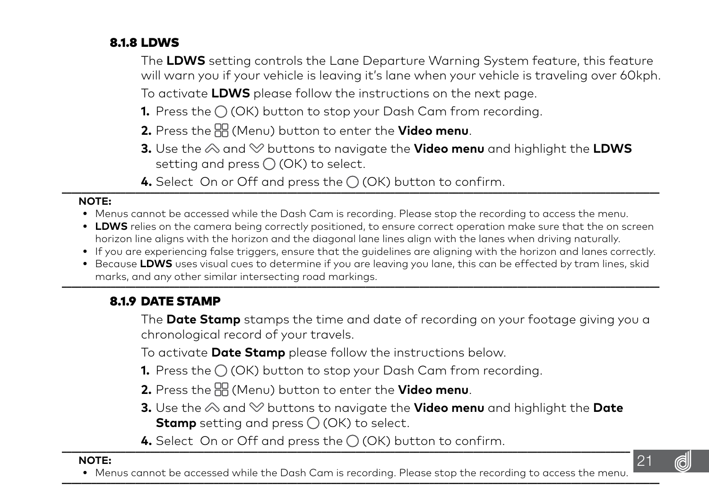## <span id="page-20-0"></span>8.1.8 LDWS

 The **LDWS** setting controls the Lane Departure Warning System feature, this feature will warn you if your vehicle is leaving it's lane when your vehicle is traveling over 60kph.

To activate **LDWS** please follow the instructions on the next page.

- **1.** Press the (OK) button to stop your Dash Cam from recording.
- **2.** Press the (Menu) button to enter the **Video menu**.
- **3.** Use the  $\otimes$  and  $\otimes$  buttons to navigate the **Video menu** and highlight the **LDWS** setting and press  $\bigcirc$  (OK) to select.
- **4.** Select On or Off and press the  $\bigcirc$  (OK) button to confirm.

#### **NOTE:**

- **•** Menus cannot be accessed while the Dash Cam is recording. Please stop the recording to access the menu.
- **LDWS** relies on the camera being correctly positioned, to ensure correct operation make sure that the on screen horizon line aligns with the horizon and the diagonal lane lines align with the lanes when driving naturally.
- **•** If you are experiencing false triggers, ensure that the guidelines are aligning with the horizon and lanes correctly.
- **•** Because **LDWS** uses visual cues to determine if you are leaving you lane, this can be effected by tram lines, skid marks, and any other similar intersecting road markings.

## 8.1.9 DATE STAMP

 The **Date Stamp** stamps the time and date of recording on your footage giving you a chronological record of your travels.

To activate **Date Stamp** please follow the instructions below.

- **1.** Press the  $\bigcap$  (OK) button to stop your Dash Cam from recording.
- **2.** Press the (Menu) button to enter the **Video menu**.
- **3.** Use the  $\otimes$  and  $\otimes$  buttons to navigate the **Video menu** and highlight the **Date Stamp** setting and press  $\bigcirc$  (OK) to select.
- **4.** Select On or Off and press the  $\bigcap$  (OK) button to confirm.

#### **NOTE:**

. Menus cannot be accessed while the Dash Cam is recordina. Please stop the recordina to access the menu.

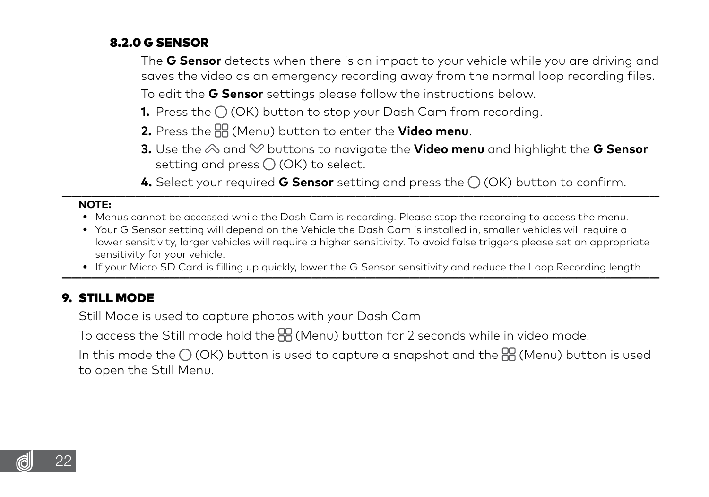## <span id="page-21-0"></span>8.2.0 G SENSOR

 The **G Sensor** detects when there is an impact to your vehicle while you are driving and saves the video as an emergency recording away from the normal loop recording files.

To edit the **G Sensor** settings please follow the instructions below.

- **1.** Press the (OK) button to stop your Dash Cam from recording.
- **2.** Press the (Menu) button to enter the **Video menu**.
- **3.** Use the  $\otimes$  and  $\otimes$  buttons to navigate the **Video menu** and highlight the **G Sensor** setting and press  $\bigcap$  (OK) to select.
- **4.** Select your required **G Sensor** setting and press the  $\bigcap$  (OK) button to confirm.

#### **NOTE:**

- **•** Menus cannot be accessed while the Dash Cam is recording. Please stop the recording to access the menu.
- **•** Your G Sensor setting will depend on the Vehicle the Dash Cam is installed in, smaller vehicles will require a lower sensitivity, larger vehicles will require a higher sensitivity. To avoid false triggers please set an appropriate sensitivity for your vehicle.
- If your Micro SD Card is filling up quickly, lower the G Sensor sensitivity and reduce the Loop Recording length.

#### 9. STILL MODE

Still Mode is used to capture photos with your Dash Cam

To access the Still mode hold the RR (Menu) button for 2 seconds while in video mode.

In this mode the  $\bigcirc$  (OK) button is used to capture a snapshot and the  $\frac{100}{100}$  (Menu) button is used to open the Still Menu.

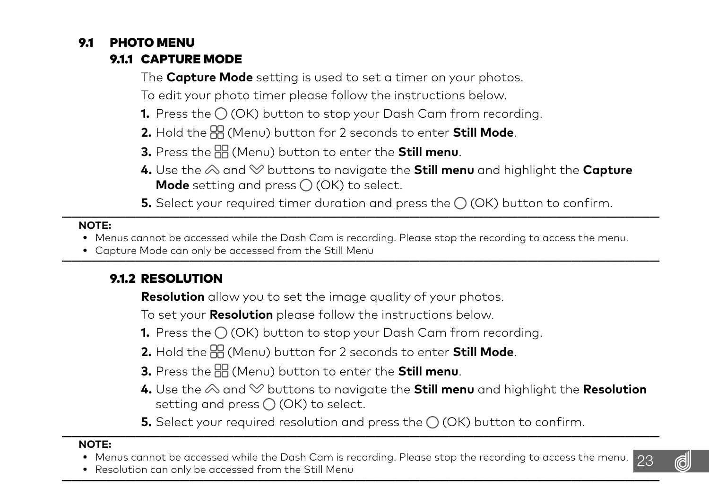## <span id="page-22-0"></span>9.1 PHOTO MENU

## 9.1.1 CAPTURE MODE

The **Capture Mode** setting is used to set a timer on your photos.

To edit your photo timer please follow the instructions below.

- **1.** Press the  $\bigcirc$  (OK) button to stop your Dash Cam from recording.
- **2.** Hold the (Menu) button for 2 seconds to enter **Still Mode**.
- **3.** Press the (Menu) button to enter the **Still menu**.
- **4.** Use the  $\otimes$  and  $\heartsuit$  buttons to navigate the **Still menu** and highlight the **Capture Mode** setting and press  $\bigcirc$  (OK) to select.
- **5.** Select your required timer duration and press the  $\bigcirc$  (OK) button to confirm.

#### **NOTE:**

- **•** Menus cannot be accessed while the Dash Cam is recording. Please stop the recording to access the menu.
- Capture Mode can only be accessed from the Still Menu

## 9.1.2 RESOLUTION

**Resolution** allow you to set the image quality of your photos.

To set your **Resolution** please follow the instructions below.

- **1.** Press the  $\bigcirc$  (OK) button to stop your Dash Cam from recording.
- **2.** Hold the  $\overline{AB}$  (Menu) button for 2 seconds to enter **Still Mode**.
- **3.** Press the (Menu) button to enter the **Still menu**.
- **4.** Use the  $\otimes$  and  $\otimes$  buttons to navigate the **Still menu** and highlight the **Resolution** setting and press  $\bigcirc$  (OK) to select.
- **5.** Select your required resolution and press the  $\bigcirc$  (OK) button to confirm.

- **•** Menus cannot be accessed while the Dash Cam is recording. Please stop the recording to access the menu.
- Resolution can only be accessed from the Still Menu

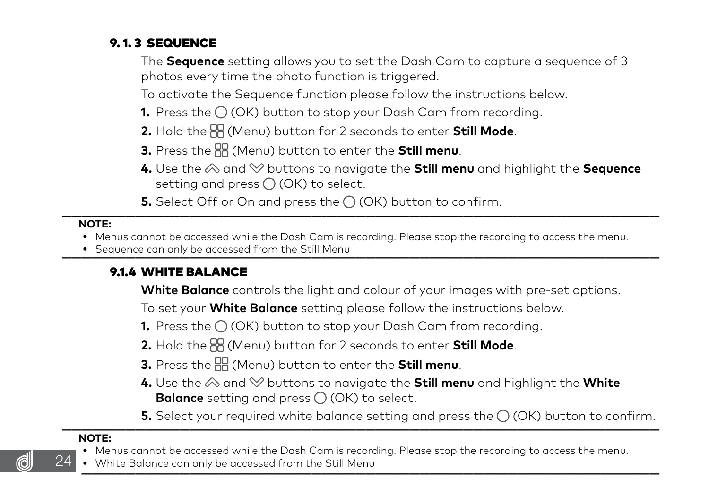## <span id="page-23-0"></span>9. 1. 3 SEQUENCE

 The **Sequence** setting allows you to set the Dash Cam to capture a sequence of 3 photos every time the photo function is triggered.

To activate the Sequence function please follow the instructions below.

- **1.** Press the  $\bigcirc$  (OK) button to stop your Dash Cam from recording.
- **2.** Hold the (Menu) button for 2 seconds to enter **Still Mode**.
- **3.** Press the (Menu) button to enter the **Still menu**.
- **4.** Use the  $\otimes$  and  $\otimes$  buttons to navigate the **Still menu** and highlight the **Sequence** setting and press  $\bigcap$  (OK) to select.
- **5.** Select Off or On and press the  $\bigcirc$  (OK) button to confirm.

#### **NOTE:**

- **•** Menus cannot be accessed while the Dash Cam is recording. Please stop the recording to access the menu.
- Sequence can only be accessed from the Still Menu

## 9.1.4 WHITE BALANCE

**White Balance** controls the light and colour of your images with pre-set options.

To set your **White Balance** setting please follow the instructions below.

- **1.** Press the  $\bigcirc$  (OK) button to stop your Dash Cam from recording.
- **2.** Hold the (Menu) button for 2 seconds to enter **Still Mode**.
- **3.** Press the (Menu) button to enter the **Still menu**.
- **4.** Use the  $\otimes$  and  $\otimes$  buttons to navigate the **Still menu** and highlight the **White Balance** setting and press  $\bigcirc$  (OK) to select.
- **5.** Select your required white balance setting and press the  $\bigcirc$  (OK) button to confirm.

#### **NOTE:**

24

- **•** Menus cannot be accessed while the Dash Cam is recording. Please stop the recording to access the menu.
- White Balance can only be accessed from the Still Menu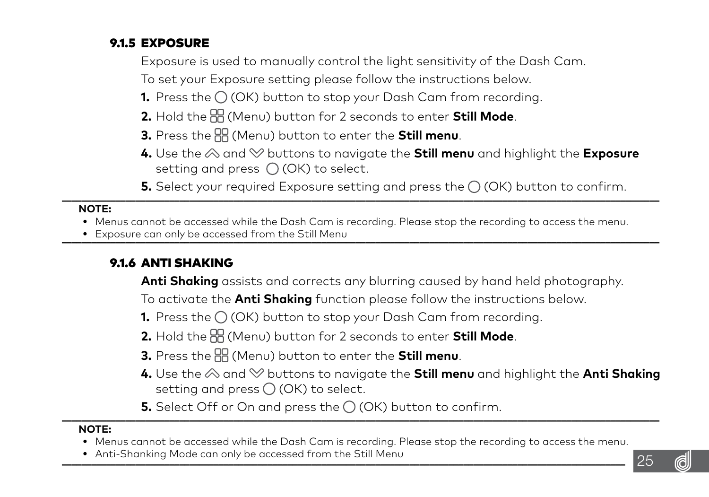## <span id="page-24-0"></span>9.1.5 EXPOSURE

Exposure is used to manually control the light sensitivity of the Dash Cam.

To set your Exposure setting please follow the instructions below.

- **1.** Press the  $\bigcap$  (OK) button to stop your Dash Cam from recording.
- **2.** Hold the (Menu) button for 2 seconds to enter **Still Mode**.
- **3.** Press the (Menu) button to enter the **Still menu**.
- **4.** Use the  $\otimes$  and  $\otimes$  buttons to navigate the **Still menu** and highlight the **Exposure** setting and press  $\bigcap$  (OK) to select.
- **5.** Select your required Exposure setting and press the  $\bigcap$  (OK) button to confirm.

#### **NOTE:**

- **•** Menus cannot be accessed while the Dash Cam is recording. Please stop the recording to access the menu.
- Exposure can only be accessed from the Still Menu

## 9.1.6 ANTI SHAKING

**Anti Shaking** assists and corrects any blurring caused by hand held photography.

To activate the **Anti Shaking** function please follow the instructions below.

- **1.** Press the  $\bigcirc$  (OK) button to stop your Dash Cam from recording.
- **2.** Hold the (Menu) button for 2 seconds to enter **Still Mode**.
- **3.** Press the (Menu) button to enter the **Still menu**.
- **4.** Use the  $\otimes$  and  $\otimes$  buttons to navigate the **Still menu** and highlight the **Anti Shaking** setting and press  $\bigcirc$  (OK) to select.
- **5.** Select Off or On and press the  $\bigcap$  (OK) button to confirm.

- **•** Menus cannot be accessed while the Dash Cam is recording. Please stop the recording to access the menu.
- Anti-Shankina Mode can only be accessed from the Still Menu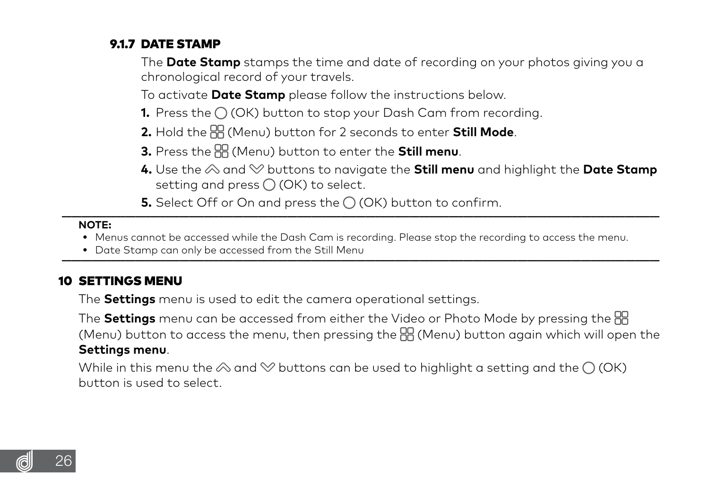## <span id="page-25-0"></span>9.1.7 DATE STAMP

 The **Date Stamp** stamps the time and date of recording on your photos giving you a chronological record of your travels.

To activate **Date Stamp** please follow the instructions below.

- **1.** Press the  $\bigcirc$  (OK) button to stop your Dash Cam from recording.
- **2.** Hold the (Menu) button for 2 seconds to enter **Still Mode**.
- **3.** Press the (Menu) button to enter the **Still menu**.
- **4.** Use the  $\otimes$  and  $\otimes$  buttons to navigate the **Still menu** and highlight the **Date Stamp** setting and press  $\bigcap$  (OK) to select.
- **5.** Select Off or On and press the  $\bigcap$  (OK) button to confirm.

#### **NOTE:**

- **•** Menus cannot be accessed while the Dash Cam is recording. Please stop the recording to access the menu.
- Date Stamp can only be accessed from the Still Menu

#### 10 SETTINGS MENU

The **Settings** menu is used to edit the camera operational settings.

 The **Settings** menu can be accessed from either the Video or Photo Mode by pressing the (Menu) button to access the menu, then pressing the (Menu) button again which will open the **Settings menu**.

While in this menu the  $\otimes$  and  $\otimes$  buttons can be used to highlight a setting and the  $\bigcirc$  (OK) button is used to select.

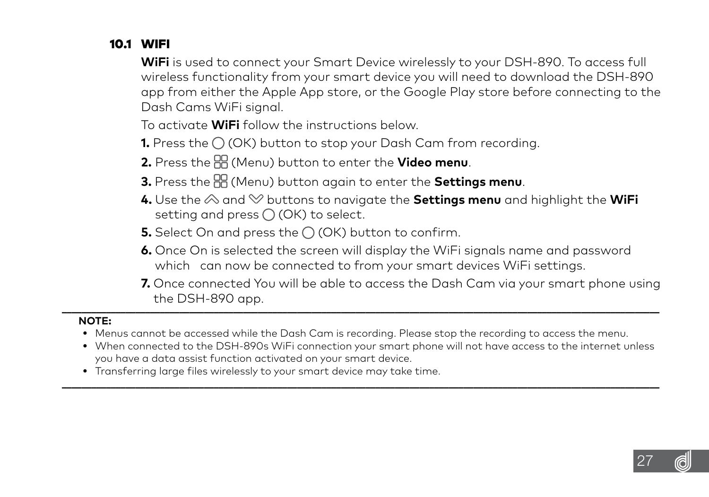## <span id="page-26-0"></span>10.1 WIFI

 **WiFi** is used to connect your Smart Device wirelessly to your DSH-890. To access full wireless functionality from your smart device you will need to download the DSH-890 app from either the Apple App store, or the Google Play store before connecting to the Dash Cams WiFi signal.

To activate **WiFi** follow the instructions below.

**1.** Press the  $\bigcap$  (OK) button to stop your Dash Cam from recording.

**2.** Press the (Menu) button to enter the **Video menu**.

- **3.** Press the (Menu) button again to enter the **Settings menu**.
- **4.** Use the  $\otimes$  and  $\heartsuit$  buttons to navigate the **Settings menu** and highlight the **WiFi** setting and press  $\bigcap$  (OK) to select.
- **5.** Select On and press the  $\bigcirc$  (OK) button to confirm.
- **6.** Once On is selected the screen will display the WiFi signals name and password which can now be connected to from your smart devices WiFi settings.
- **7.** Once connected You will be able to access the Dash Cam via your smart phone using the DSH-890 app. **\_\_\_\_\_\_\_\_\_\_\_\_\_\_\_\_\_\_\_\_\_\_\_\_\_\_\_\_\_\_\_\_\_\_\_\_\_\_\_\_\_\_\_\_\_\_\_\_\_\_\_\_\_\_\_\_\_\_\_\_\_\_\_\_\_\_\_\_\_\_\_\_\_\_\_\_\_\_\_\_\_\_\_\_\_\_\_\_\_\_\_\_\_\_\_\_\_\_\_\_\_\_\_\_\_\_\_\_\_\_\_\_\_\_\_\_\_\_\_\_\_\_**

- **•** Menus cannot be accessed while the Dash Cam is recording. Please stop the recording to access the menu.
- **•** When connected to the DSH-890s WiFi connection your smart phone will not have access to the internet unless you have a data assist function activated on your smart device. **\_\_\_\_\_\_\_\_\_\_\_\_\_\_\_\_\_\_\_\_\_\_\_\_\_\_\_\_\_\_\_\_\_\_\_\_\_\_\_\_\_\_\_\_\_\_\_\_\_\_\_\_\_\_\_\_\_\_\_\_\_\_\_\_\_\_\_\_\_\_\_\_\_\_\_\_\_\_\_\_\_\_\_\_\_\_\_\_\_\_\_\_\_\_\_\_\_\_\_\_\_\_\_\_\_\_\_\_\_\_\_\_\_\_\_\_\_\_\_\_\_\_**
	- **•** Transferring large files wirelessly to your smart device may take time.

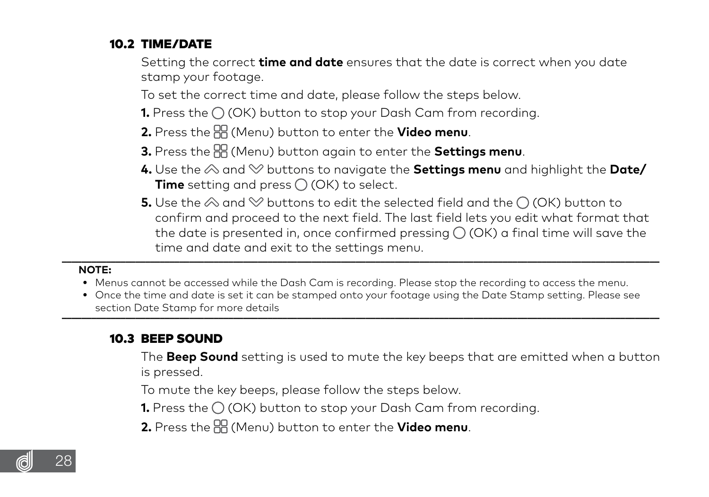## <span id="page-27-0"></span>10.2 TIME/DATE

 Setting the correct **time and date** ensures that the date is correct when you date stamp your footage.

To set the correct time and date, please follow the steps below.

- **1.** Press the  $\bigcirc$  (OK) button to stop your Dash Cam from recording.
- **2.** Press the (Menu) button to enter the **Video menu**.
- **3.** Press the (Menu) button again to enter the **Settings menu**.
- **4.** Use the  $\otimes$  and  $\otimes$  buttons to navigate the **Settings menu** and highlight the **Date/ Time** setting and press  $\bigcap$  (OK) to select.
- **5.** Use the  $\otimes$  and  $\otimes$  buttons to edit the selected field and the  $\cap$  (OK) button to confirm and proceed to the next field. The last field lets you edit what format that the date is presented in, once confirmed pressing  $\bigcirc$  (OK) a final time will save the time and date and exit to the settings menu.

#### **NOTE:**

- **•** Menus cannot be accessed while the Dash Cam is recording. Please stop the recording to access the menu.
- **•** Once the time and date is set it can be stamped onto your footage using the Date Stamp setting. Please see section Date Stamp for more details **\_\_\_\_\_\_\_\_\_\_\_\_\_\_\_\_\_\_\_\_\_\_\_\_\_\_\_\_\_\_\_\_\_\_\_\_\_\_\_\_\_\_\_\_\_\_\_\_\_\_\_\_\_\_\_\_\_\_\_\_\_\_\_\_\_\_\_\_\_\_\_\_\_\_\_\_\_\_\_\_\_\_\_\_\_\_\_\_\_\_\_\_\_\_\_\_\_\_\_\_\_\_\_\_\_\_\_\_\_\_\_\_\_\_\_\_\_\_\_\_\_\_**

#### 10.3 BEEP SOUND

 The **Beep Sound** setting is used to mute the key beeps that are emitted when a button is pressed.

To mute the key beeps, please follow the steps below.

**1.** Press the  $\bigcirc$  (OK) button to stop your Dash Cam from recording.

**2.** Press the (Menu) button to enter the **Video menu**.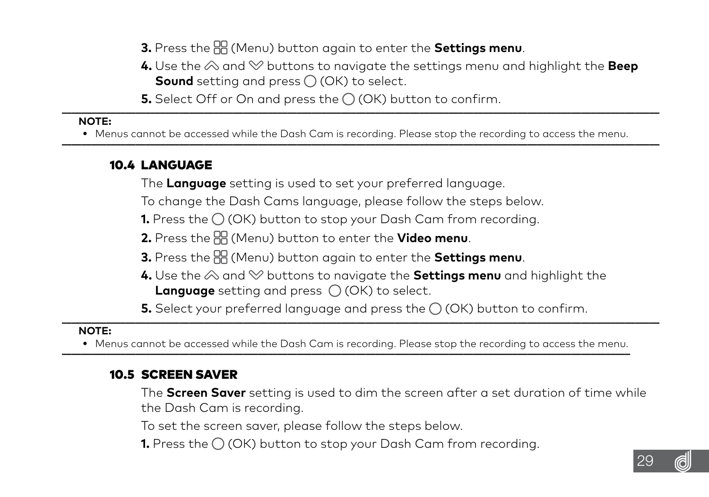**3.** Press the (Menu) button again to enter the **Settings menu**.

**4.** Use the  $\otimes$  and  $\otimes$  buttons to navigate the settings menu and highlight the **Beep** Sound setting and press  $\bigcirc$  (OK) to select.

**5.** Select Off or On and press the  $\bigcap$  (OK) button to confirm.

#### <span id="page-28-0"></span> **NOTE:**

• Menus cannot be accessed while the Dash Cam is recording. Please stop the recording to access the menu.

#### 10.4 LANGUAGE

The **Language** setting is used to set your preferred language.

To change the Dash Cams language, please follow the steps below.

**1.** Press the  $\bigcap$  (OK) button to stop your Dash Cam from recording.

**2.** Press the (Menu) button to enter the **Video menu**.

- **3.** Press the (Menu) button again to enter the **Settings menu**.
- **4.** Use the  $\otimes$  and  $\otimes$  buttons to navigate the **Settings menu** and highlight the **Language** setting and press  $\bigcirc$  (OK) to select.

**5.** Select your preferred language and press the  $\bigcap$  (OK) button to confirm.

#### **NOTE:**

• Menus cannot be accessed while the Dash Cam is recording. Please stop the recording to access the menu

## 10.5 SCREEN SAVER

 The **Screen Saver** setting is used to dim the screen after a set duration of time while the Dash Cam is recording.

To set the screen saver, please follow the steps below.

**1.** Press the  $\bigcirc$  (OK) button to stop your Dash Cam from recording.

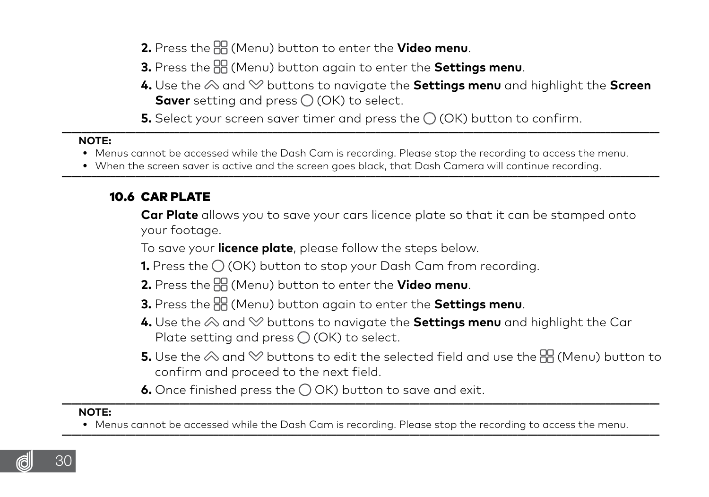- <span id="page-29-0"></span>**2.** Press the (Menu) button to enter the **Video menu**.
- **3.** Press the (Menu) button again to enter the **Settings menu**.
- **4.** Use the  $\otimes$  and  $\otimes$  buttons to navigate the **Settings menu** and highlight the **Screen Saver** setting and press () (OK) to select.
- **5.** Select your screen saver timer and press the  $\bigcirc$  (OK) button to confirm.

#### **NOTE:**

- **•** Menus cannot be accessed while the Dash Cam is recording. Please stop the recording to access the menu.
- When the screen saver is active and the screen goes black that Dash Camera will continue recording

## 10.6 CAR PLATE

 **Car Plate** allows you to save your cars licence plate so that it can be stamped onto your footage.

To save your **licence plate**, please follow the steps below.

- **1.** Press the (OK) button to stop your Dash Cam from recording.
- **2.** Press the (Menu) button to enter the **Video menu**.
- **3.** Press the (Menu) button again to enter the **Settings menu**.
- **4.** Use the  $\otimes$  and  $\otimes$  buttons to navigate the **Settings menu** and highlight the Car Plate setting and press  $\bigcirc$  (OK) to select.
- **5.** Use the  $\otimes$  and  $\otimes$  buttons to edit the selected field and use the  $\mathbb{E}$  (Menu) button to confirm and proceed to the next field.
- **6.** Once finished press the  $\bigcirc$  OK) button to save and exit.

#### **NOTE:**

• Menus cannot be accessed while the Dash Cam is recording. Please stop the recording to access the menu

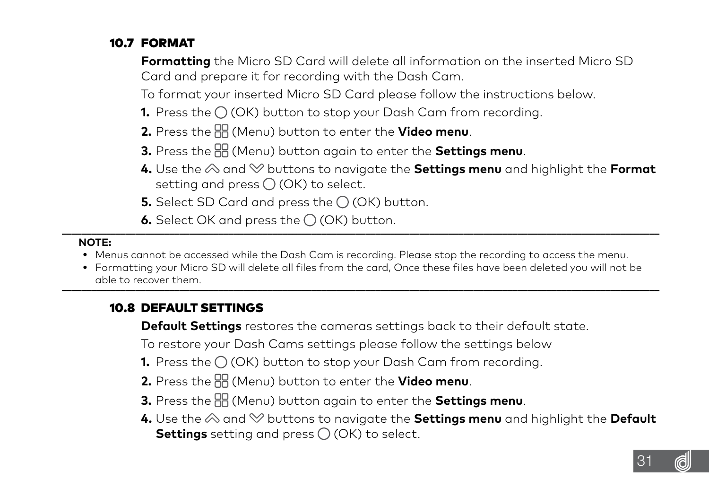## <span id="page-30-0"></span>10.7 FORMAT

 **Formatting** the Micro SD Card will delete all information on the inserted Micro SD Card and prepare it for recording with the Dash Cam.

To format your inserted Micro SD Card please follow the instructions below.

- **1.** Press the  $\bigcap$  (OK) button to stop your Dash Cam from recording.
- **2.** Press the (Menu) button to enter the **Video menu**.
- **3.** Press the (Menu) button again to enter the **Settings menu**.
- **4.** Use the  $\otimes$  and  $\otimes$  buttons to navigate the **Settings menu** and highlight the Format setting and press  $\bigcirc$  (OK) to select.
- **5.** Select SD Card and press the  $\bigcirc$  (OK) button.
- **6.** Select OK and press the  $\bigcap$  (OK) button.

#### **NOTE:**

- **•** Menus cannot be accessed while the Dash Cam is recording. Please stop the recording to access the menu.
- **•** Formatting your Micro SD will delete all files from the card, Once these files have been deleted you will not be able to recover them. **\_\_\_\_\_\_\_\_\_\_\_\_\_\_\_\_\_\_\_\_\_\_\_\_\_\_\_\_\_\_\_\_\_\_\_\_\_\_\_\_\_\_\_\_\_\_\_\_\_\_\_\_\_\_\_\_\_\_\_\_\_\_\_\_\_\_\_\_\_\_\_\_\_\_\_\_\_\_\_\_\_\_\_\_\_\_\_\_\_\_\_\_\_\_\_\_\_\_\_\_\_\_\_\_\_\_\_\_\_\_\_\_\_\_\_\_\_\_\_\_\_\_**

## 10.8 DEFAULT SETTINGS

**Default Settings** restores the cameras settings back to their default state.

To restore your Dash Cams settings please follow the settings below

- 1. Press the  $\bigcirc$  (OK) button to stop your Dash Cam from recording.
- **2.** Press the (Menu) button to enter the **Video menu**.
- **3.** Press the (Menu) button again to enter the **Settings menu**.
- **4.** Use the  $\otimes$  and  $\otimes$  buttons to navigate the **Settings menu** and highlight the **Default Settings** setting and press  $\bigcap$  (OK) to select.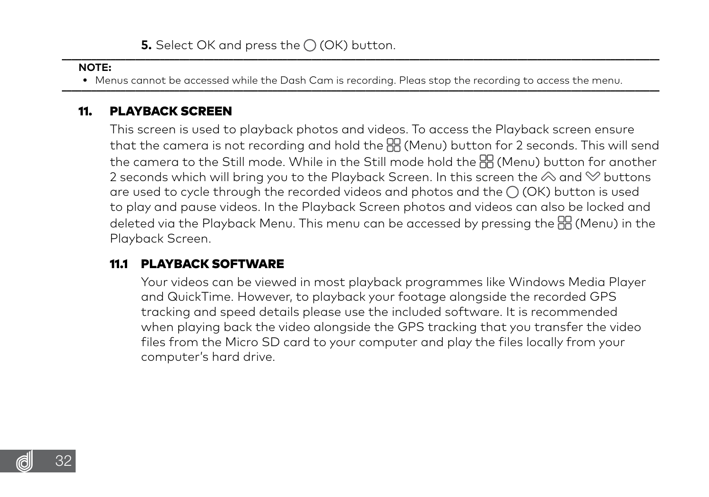#### <span id="page-31-0"></span> **NOTE:**

. Menus cannot be accessed while the Dash Cam is recordina. Pleas stop the recordina to access the menu.

#### 11. PLAYBACK SCREEN

 This screen is used to playback photos and videos. To access the Playback screen ensure that the camera is not recording and hold the  $\frac{m}{2}$  (Menu) button for 2 seconds. This will send the camera to the Still mode. While in the Still mode hold the (Menu) button for another 2 seconds which will bring you to the Playback Screen. In this screen the  $\otimes$  and  $\otimes$  buttons are used to cycle through the recorded videos and photos and the  $\bigcap$  (OK) button is used to play and pause videos. In the Playback Screen photos and videos can also be locked and deleted via the Playback Menu. This menu can be accessed by pressing the  $\mathbb{H}$  (Menu) in the Playback Screen.

#### 11.1 PLAYBACK SOFTWARE

 Your videos can be viewed in most playback programmes like Windows Media Player and QuickTime. However, to playback your footage alongside the recorded GPS tracking and speed details please use the included software. It is recommended when playing back the video alongside the GPS tracking that you transfer the video files from the Micro SD card to your computer and play the files locally from your computer's hard drive.

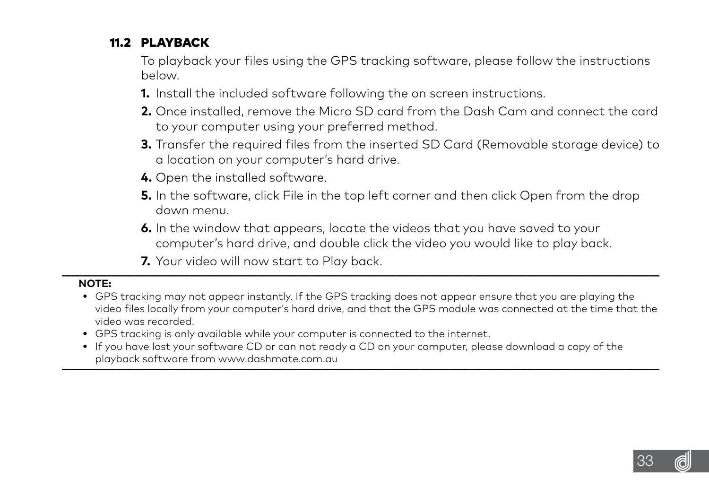## <span id="page-32-0"></span>11.2 PLAYBACK

 To playback your files using the GPS tracking software, please follow the instructions below.

- **1.** Install the included software following the on screen instructions.
- **2.** Once installed, remove the Micro SD card from the Dash Cam and connect the card to your computer using your preferred method.
- **3.** Transfer the required files from the inserted SD Card (Removable storage device) to a location on your computer's hard drive.
- **4.** Open the installed software.
- **5.** In the software, click File in the top left corner and then click Open from the drop down menu.
- **6.** In the window that appears, locate the videos that you have saved to your computer's hard drive, and double click the video you would like to play back.
- **7.** Your video will now start to Play back.

- **•** GPS tracking may not appear instantly. If the GPS tracking does not appear ensure that you are playing the video files locally from your computer's hard drive, and that the GPS module was connected at the time that the video was recorded.
- **•** GPS tracking is only available while your computer is connected to the internet.
- **•** If you have lost your software CD or can not ready a CD on your computer, please download a copy of the playback software from www.dashmate.com.au

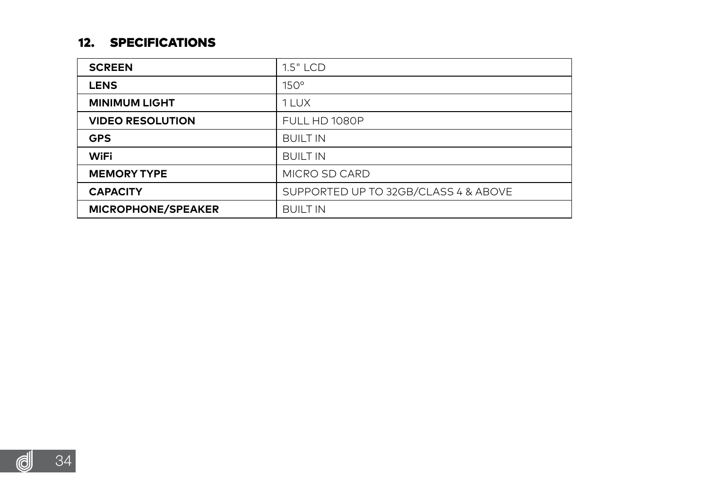#### <span id="page-33-0"></span>12. SPECIFICATIONS

| <b>SCREEN</b>             | 1.5" LCD                             |
|---------------------------|--------------------------------------|
| <b>LENS</b>               | $150^\circ$                          |
| <b>MINIMUM LIGHT</b>      | 111X                                 |
| <b>VIDEO RESOLUTION</b>   | FULL HD 1080P                        |
| <b>GPS</b>                | <b>BUILT IN</b>                      |
| WiFi                      | <b>BUILT IN</b>                      |
| <b>MEMORY TYPE</b>        | MICRO SD CARD                        |
| <b>CAPACITY</b>           | SUPPORTED UP TO 32GB/CLASS 4 & ABOVE |
| <b>MICROPHONE/SPEAKER</b> | <b>BUILT IN</b>                      |

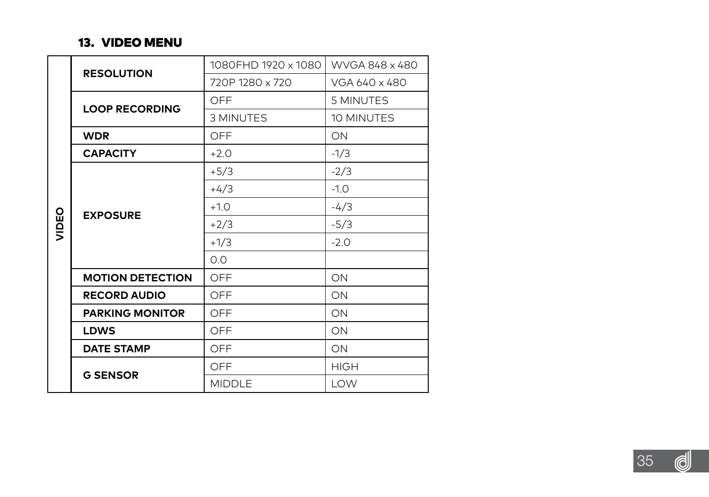#### 13. VIDEO MENU

<span id="page-34-0"></span>

|       | <b>RESOLUTION</b>       | 1080FHD 1920 x 1080                               | WVGA 848 x 480 |  |  |
|-------|-------------------------|---------------------------------------------------|----------------|--|--|
|       |                         | 720P 1280 x 720                                   | VGA 640 x 480  |  |  |
|       | <b>LOOP RECORDING</b>   | OFF                                               | 5 MINUTES      |  |  |
|       |                         | 3 MINUTES<br>10 MINUTES<br>ON<br>$-1/3$<br>$-2/3$ |                |  |  |
|       | <b>WDR</b>              | OFF                                               |                |  |  |
|       | <b>CAPACITY</b>         | $+2.0$                                            |                |  |  |
|       |                         | $+5/3$                                            |                |  |  |
|       |                         | $+4/3$                                            | $-1.0$         |  |  |
|       |                         | $+1.0$                                            | $-4/3$         |  |  |
| VIDEO | <b>EXPOSURE</b>         | $+2/3$                                            | $-5/3$         |  |  |
|       |                         | $+1/3$                                            | $-2.0$         |  |  |
|       |                         | 0.0                                               |                |  |  |
|       | <b>MOTION DETECTION</b> | OFF                                               | ON             |  |  |
|       | <b>RECORD AUDIO</b>     | OFF                                               | ON             |  |  |
|       | <b>PARKING MONITOR</b>  | OFF                                               | ON             |  |  |
|       | LDWS                    | OFF                                               | ON             |  |  |
|       | <b>DATE STAMP</b>       | OFF                                               | ON             |  |  |
|       |                         | OFF                                               | <b>HIGH</b>    |  |  |
|       | <b>G SENSOR</b>         | MIDDLE                                            | LOW            |  |  |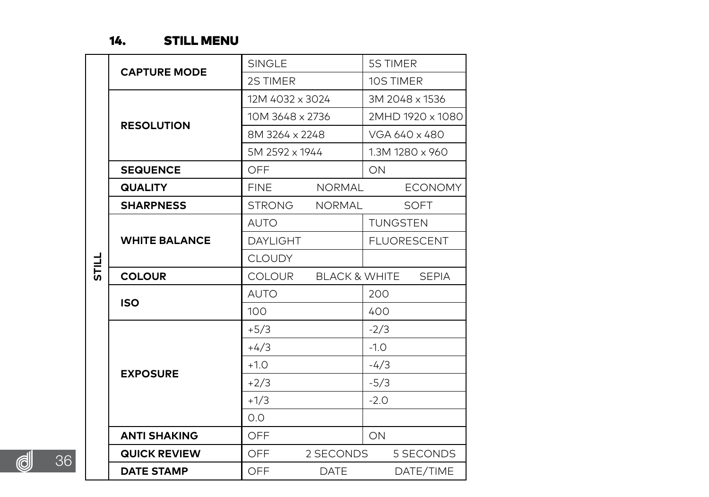## 14. STILL MENU

<span id="page-35-0"></span>

|   |                      | SINGLE           |               | 5S TIMER                                      |
|---|----------------------|------------------|---------------|-----------------------------------------------|
|   | <b>CAPTURE MODE</b>  | 2S TIMER         |               | 10S TIMER                                     |
|   | <b>RESOLUTION</b>    | 12M 4032 x 3024  |               | 3M 2048 x 1536                                |
|   |                      | 10M 3648 x 2736  |               | 2MHD 1920 x 1080                              |
|   |                      | 8M 3264 x 2248   |               | VGA 640 x 480                                 |
|   |                      | 5M 2592 x 1944   |               | 1.3M 1280 x 960                               |
|   | <b>SEQUENCE</b>      | OFF              |               | ON                                            |
|   | <b>QUALITY</b>       | <b>FINE</b>      | <b>NORMAL</b> | <b>ECONOMY</b>                                |
|   | <b>SHARPNESS</b>     | <b>STRONG</b>    | <b>NORMAL</b> | SOFT                                          |
|   |                      | <b>AUTO</b>      |               | <b>TUNGSTEN</b>                               |
|   | <b>WHITE BALANCE</b> | <b>DAYI IGHT</b> |               | <b>FLUORESCENT</b>                            |
| 晨 |                      | <b>CLOUDY</b>    |               |                                               |
|   | <b>COLOUR</b>        | <b>COLOUR</b>    | BLACK & WHITE | <b>SEPIA</b>                                  |
|   | <b>ISO</b>           | AUTO             |               | 200                                           |
|   |                      | 100              |               | 400                                           |
|   |                      | $+5/3$           |               | $-2/3$                                        |
|   |                      | $+4/3$           | $-1.0$        |                                               |
|   | <b>EXPOSURE</b>      | $+1.0$           |               | $-4/3$<br>$-5/3$<br>$-2.0$<br>ON<br>5 SECONDS |
|   |                      | $+2/3$           |               |                                               |
|   |                      | $+1/3$           |               |                                               |
|   |                      | 0 <sub>0</sub>   |               |                                               |
|   | <b>ANTI SHAKING</b>  | OFF              |               |                                               |
|   | <b>QUICK REVIEW</b>  | OFF              | 2 SECONDS     |                                               |
|   | <b>DATE STAMP</b>    | OFF              | DATE          | DATE/TIME                                     |

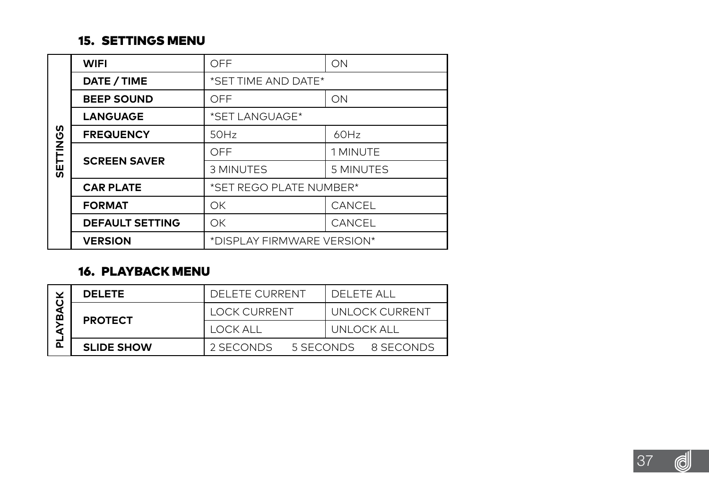## 15. SETTINGS MENU

<span id="page-36-0"></span>

|         | <b>WIFI</b>            | OFF                         | ON        |
|---------|------------------------|-----------------------------|-----------|
|         | DATE / TIME            | *SET TIME AND DATE*         |           |
|         | <b>BEEP SOUND</b>      | OFF                         | ON        |
|         | LANGUAGE               | *SET LANGUAGE*              |           |
| w       | <b>FREQUENCY</b>       | 50Hz                        | 60Hz      |
| SETTING | <b>SCREEN SAVER</b>    | OFF                         | 1 MINUTF  |
|         |                        | 3 MINUTES                   | 5 MINUTES |
|         | <b>CAR PLATE</b>       | *SET REGO PLATE NUMBER*     |           |
|         | <b>FORMAT</b>          | OK                          | CANCEL    |
|         | <b>DEFAULT SETTING</b> | OK                          | CANCEL    |
|         | <b>VERSION</b>         | *DISPI AY FIRMWARF VERSION* |           |

## 16. PLAYBACK MENU

| m<br>Δ. | <b>DELETE</b>     | DELETE CURRENT         | DELETE ALL      |
|---------|-------------------|------------------------|-----------------|
|         | <b>PROTECT</b>    | <b>LOCK CURRENT</b>    | UNI OCK CURRENT |
|         |                   | LOCK ALL               | UNI OCK ALL     |
|         | <b>SLIDE SHOW</b> | 2 SECONDS<br>5 SECONDS | 8 SECONDS       |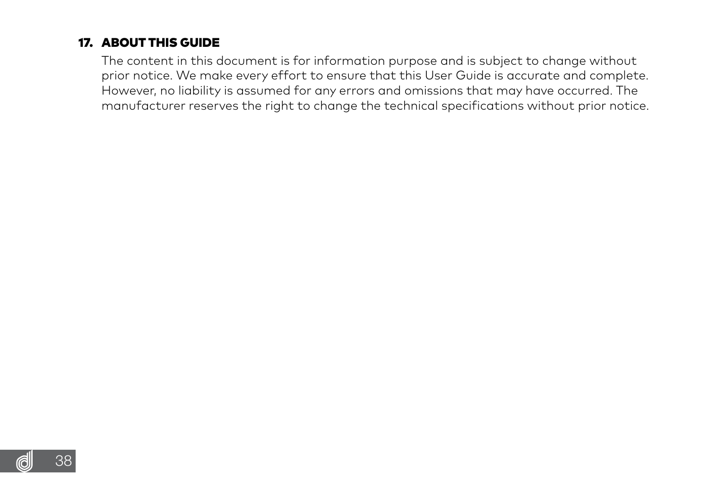## <span id="page-37-0"></span>17. ABOUT THIS GUIDE

 The content in this document is for information purpose and is subject to change without prior notice. We make every effort to ensure that this User Guide is accurate and complete. However, no liability is assumed for any errors and omissions that may have occurred. The manufacturer reserves the right to change the technical specifications without prior notice.

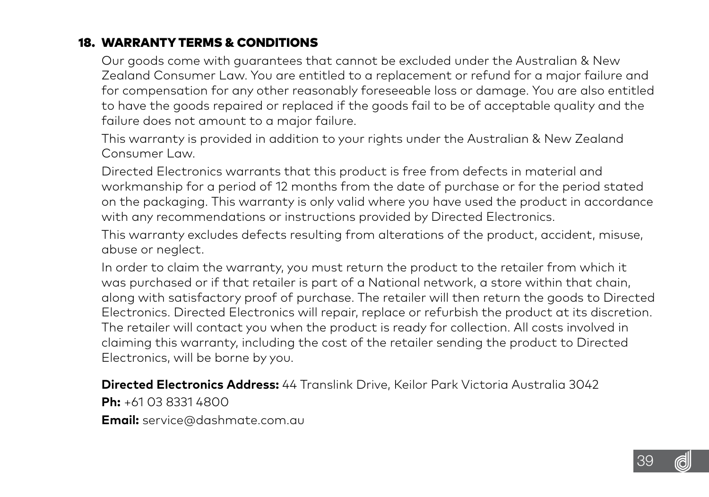## <span id="page-38-0"></span>18. WARRANTY TERMS & CONDITIONS

 Our goods come with guarantees that cannot be excluded under the Australian & New Zealand Consumer Law. You are entitled to a replacement or refund for a major failure and for compensation for any other reasonably foreseeable loss or damage. You are also entitled to have the goods repaired or replaced if the goods fail to be of acceptable quality and the failure does not amount to a major failure.

 This warranty is provided in addition to your rights under the Australian & New Zealand Consumer Law.

 Directed Electronics warrants that this product is free from defects in material and workmanship for a period of 12 months from the date of purchase or for the period stated on the packaging. This warranty is only valid where you have used the product in accordance with any recommendations or instructions provided by Directed Electronics.

 This warranty excludes defects resulting from alterations of the product, accident, misuse, abuse or neglect.

 In order to claim the warranty, you must return the product to the retailer from which it was purchased or if that retailer is part of a National network, a store within that chain, along with satisfactory proof of purchase. The retailer will then return the goods to Directed Electronics. Directed Electronics will repair, replace or refurbish the product at its discretion. The retailer will contact you when the product is ready for collection. All costs involved in claiming this warranty, including the cost of the retailer sending the product to Directed Electronics, will be borne by you.

 **Directed Electronics Address:** 44 Translink Drive, Keilor Park Victoria Australia 3042  **Ph:** +61 03 8331 4800

 **Email:** service@dashmate.com.au